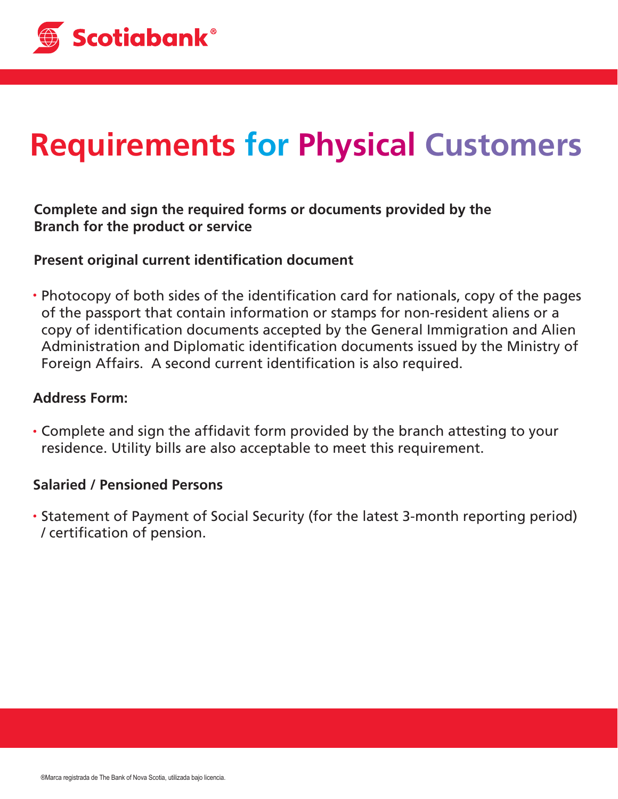

# **Requirements for Physical Customers**

## **Complete and sign the required forms or documents provided by the Branch for the product or service**

### **Present original current identification document**

• Photocopy of both sides of the identification card for nationals, copy of the pages of the passport that contain information or stamps for non-resident aliens or a copy of identification documents accepted by the General Immigration and Alien Administration and Diplomatic identification documents issued by the Ministry of Foreign Affairs. A second current identification is also required.

#### **Address Form:**

• Complete and sign the affidavit form provided by the branch attesting to your residence. Utility bills are also acceptable to meet this requirement.

#### **Salaried / Pensioned Persons**

Statement of Payment of Social Security (for the latest 3-month reporting period) / certification of pension.